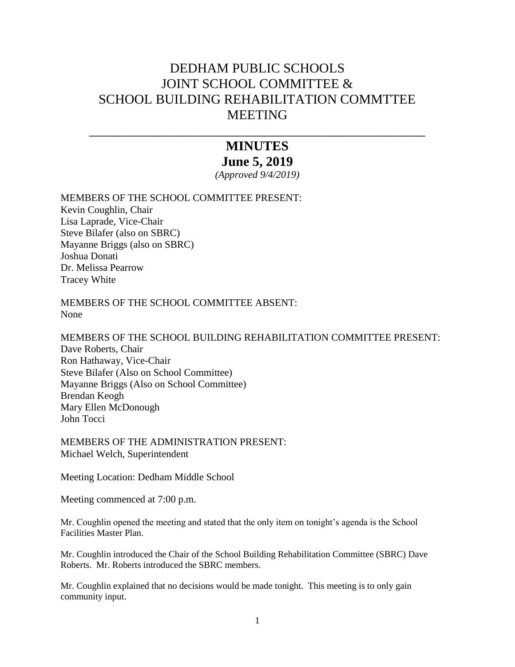## DEDHAM PUBLIC SCHOOLS JOINT SCHOOL COMMITTEE & SCHOOL BUILDING REHABILITATION COMMTTEE **MEETING**

## **MINUTES June 5, 2019**

\_\_\_\_\_\_\_\_\_\_\_\_\_\_\_\_\_\_\_\_\_\_\_\_\_\_\_\_\_\_\_\_\_\_\_\_\_\_\_\_\_\_\_\_\_\_\_\_\_\_

*(Approved 9/4/2019)*

MEMBERS OF THE SCHOOL COMMITTEE PRESENT:

Kevin Coughlin, Chair Lisa Laprade, Vice-Chair Steve Bilafer (also on SBRC) Mayanne Briggs (also on SBRC) Joshua Donati Dr. Melissa Pearrow Tracey White

MEMBERS OF THE SCHOOL COMMITTEE ABSENT: None

MEMBERS OF THE SCHOOL BUILDING REHABILITATION COMMITTEE PRESENT: Dave Roberts, Chair Ron Hathaway, Vice-Chair Steve Bilafer (Also on School Committee) Mayanne Briggs (Also on School Committee) Brendan Keogh Mary Ellen McDonough John Tocci

MEMBERS OF THE ADMINISTRATION PRESENT: Michael Welch, Superintendent

Meeting Location: Dedham Middle School

Meeting commenced at 7:00 p.m.

Mr. Coughlin opened the meeting and stated that the only item on tonight's agenda is the School Facilities Master Plan.

Mr. Coughlin introduced the Chair of the School Building Rehabilitation Committee (SBRC) Dave Roberts. Mr. Roberts introduced the SBRC members.

Mr. Coughlin explained that no decisions would be made tonight. This meeting is to only gain community input.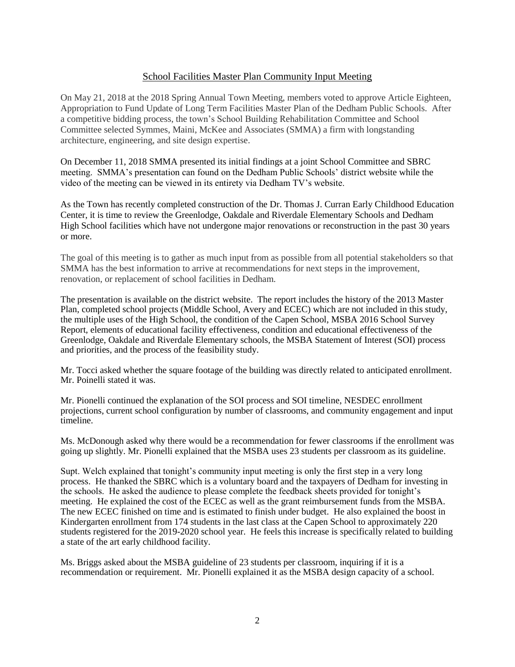## School Facilities Master Plan Community Input Meeting

On May 21, 2018 at the 2018 Spring Annual Town Meeting, members voted to approve Article Eighteen, Appropriation to Fund Update of Long Term Facilities Master Plan of the Dedham Public Schools. After a competitive bidding process, the town's School Building Rehabilitation Committee and School Committee selected Symmes, Maini, McKee and Associates (SMMA) a firm with longstanding architecture, engineering, and site design expertise.

On December 11, 2018 SMMA presented its initial findings at a joint School Committee and SBRC meeting. SMMA's presentation can found on the Dedham Public Schools' district website while the video of the meeting can be viewed in its entirety via Dedham TV's website.

As the Town has recently completed construction of the Dr. Thomas J. Curran Early Childhood Education Center, it is time to review the Greenlodge, Oakdale and Riverdale Elementary Schools and Dedham High School facilities which have not undergone major renovations or reconstruction in the past 30 years or more.

The goal of this meeting is to gather as much input from as possible from all potential stakeholders so that SMMA has the best information to arrive at recommendations for next steps in the improvement, renovation, or replacement of school facilities in Dedham.

The presentation is available on the district website. The report includes the history of the 2013 Master Plan, completed school projects (Middle School, Avery and ECEC) which are not included in this study, the multiple uses of the High School, the condition of the Capen School, MSBA 2016 School Survey Report, elements of educational facility effectiveness, condition and educational effectiveness of the Greenlodge, Oakdale and Riverdale Elementary schools, the MSBA Statement of Interest (SOI) process and priorities, and the process of the feasibility study.

Mr. Tocci asked whether the square footage of the building was directly related to anticipated enrollment. Mr. Poinelli stated it was.

Mr. Pionelli continued the explanation of the SOI process and SOI timeline, NESDEC enrollment projections, current school configuration by number of classrooms, and community engagement and input timeline.

Ms. McDonough asked why there would be a recommendation for fewer classrooms if the enrollment was going up slightly. Mr. Pionelli explained that the MSBA uses 23 students per classroom as its guideline.

Supt. Welch explained that tonight's community input meeting is only the first step in a very long process. He thanked the SBRC which is a voluntary board and the taxpayers of Dedham for investing in the schools. He asked the audience to please complete the feedback sheets provided for tonight's meeting. He explained the cost of the ECEC as well as the grant reimbursement funds from the MSBA. The new ECEC finished on time and is estimated to finish under budget. He also explained the boost in Kindergarten enrollment from 174 students in the last class at the Capen School to approximately 220 students registered for the 2019-2020 school year. He feels this increase is specifically related to building a state of the art early childhood facility.

Ms. Briggs asked about the MSBA guideline of 23 students per classroom, inquiring if it is a recommendation or requirement. Mr. Pionelli explained it as the MSBA design capacity of a school.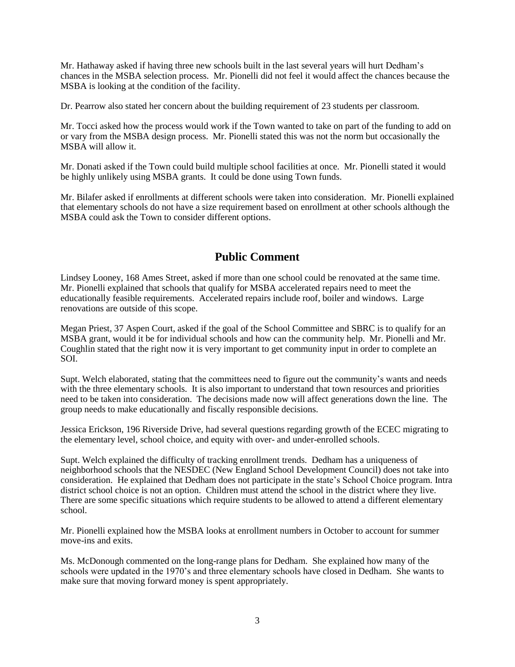Mr. Hathaway asked if having three new schools built in the last several years will hurt Dedham's chances in the MSBA selection process. Mr. Pionelli did not feel it would affect the chances because the MSBA is looking at the condition of the facility.

Dr. Pearrow also stated her concern about the building requirement of 23 students per classroom.

Mr. Tocci asked how the process would work if the Town wanted to take on part of the funding to add on or vary from the MSBA design process. Mr. Pionelli stated this was not the norm but occasionally the MSBA will allow it.

Mr. Donati asked if the Town could build multiple school facilities at once. Mr. Pionelli stated it would be highly unlikely using MSBA grants. It could be done using Town funds.

Mr. Bilafer asked if enrollments at different schools were taken into consideration. Mr. Pionelli explained that elementary schools do not have a size requirement based on enrollment at other schools although the MSBA could ask the Town to consider different options.

## **Public Comment**

Lindsey Looney, 168 Ames Street, asked if more than one school could be renovated at the same time. Mr. Pionelli explained that schools that qualify for MSBA accelerated repairs need to meet the educationally feasible requirements. Accelerated repairs include roof, boiler and windows. Large renovations are outside of this scope.

Megan Priest, 37 Aspen Court, asked if the goal of the School Committee and SBRC is to qualify for an MSBA grant, would it be for individual schools and how can the community help. Mr. Pionelli and Mr. Coughlin stated that the right now it is very important to get community input in order to complete an SOI.

Supt. Welch elaborated, stating that the committees need to figure out the community's wants and needs with the three elementary schools. It is also important to understand that town resources and priorities need to be taken into consideration. The decisions made now will affect generations down the line. The group needs to make educationally and fiscally responsible decisions.

Jessica Erickson, 196 Riverside Drive, had several questions regarding growth of the ECEC migrating to the elementary level, school choice, and equity with over- and under-enrolled schools.

Supt. Welch explained the difficulty of tracking enrollment trends. Dedham has a uniqueness of neighborhood schools that the NESDEC (New England School Development Council) does not take into consideration. He explained that Dedham does not participate in the state's School Choice program. Intra district school choice is not an option. Children must attend the school in the district where they live. There are some specific situations which require students to be allowed to attend a different elementary school.

Mr. Pionelli explained how the MSBA looks at enrollment numbers in October to account for summer move-ins and exits.

Ms. McDonough commented on the long-range plans for Dedham. She explained how many of the schools were updated in the 1970's and three elementary schools have closed in Dedham. She wants to make sure that moving forward money is spent appropriately.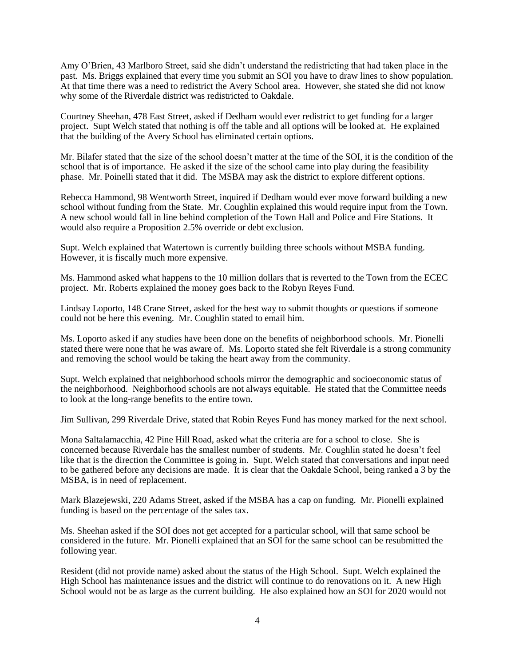Amy O'Brien, 43 Marlboro Street, said she didn't understand the redistricting that had taken place in the past. Ms. Briggs explained that every time you submit an SOI you have to draw lines to show population. At that time there was a need to redistrict the Avery School area. However, she stated she did not know why some of the Riverdale district was redistricted to Oakdale.

Courtney Sheehan, 478 East Street, asked if Dedham would ever redistrict to get funding for a larger project. Supt Welch stated that nothing is off the table and all options will be looked at. He explained that the building of the Avery School has eliminated certain options.

Mr. Bilafer stated that the size of the school doesn't matter at the time of the SOI, it is the condition of the school that is of importance. He asked if the size of the school came into play during the feasibility phase. Mr. Poinelli stated that it did. The MSBA may ask the district to explore different options.

Rebecca Hammond, 98 Wentworth Street, inquired if Dedham would ever move forward building a new school without funding from the State. Mr. Coughlin explained this would require input from the Town. A new school would fall in line behind completion of the Town Hall and Police and Fire Stations. It would also require a Proposition 2.5% override or debt exclusion.

Supt. Welch explained that Watertown is currently building three schools without MSBA funding. However, it is fiscally much more expensive.

Ms. Hammond asked what happens to the 10 million dollars that is reverted to the Town from the ECEC project. Mr. Roberts explained the money goes back to the Robyn Reyes Fund.

Lindsay Loporto, 148 Crane Street, asked for the best way to submit thoughts or questions if someone could not be here this evening. Mr. Coughlin stated to email him.

Ms. Loporto asked if any studies have been done on the benefits of neighborhood schools. Mr. Pionelli stated there were none that he was aware of. Ms. Loporto stated she felt Riverdale is a strong community and removing the school would be taking the heart away from the community.

Supt. Welch explained that neighborhood schools mirror the demographic and socioeconomic status of the neighborhood. Neighborhood schools are not always equitable. He stated that the Committee needs to look at the long-range benefits to the entire town.

Jim Sullivan, 299 Riverdale Drive, stated that Robin Reyes Fund has money marked for the next school.

Mona Saltalamacchia, 42 Pine Hill Road, asked what the criteria are for a school to close. She is concerned because Riverdale has the smallest number of students. Mr. Coughlin stated he doesn't feel like that is the direction the Committee is going in. Supt. Welch stated that conversations and input need to be gathered before any decisions are made. It is clear that the Oakdale School, being ranked a 3 by the MSBA, is in need of replacement.

Mark Blazejewski, 220 Adams Street, asked if the MSBA has a cap on funding. Mr. Pionelli explained funding is based on the percentage of the sales tax.

Ms. Sheehan asked if the SOI does not get accepted for a particular school, will that same school be considered in the future. Mr. Pionelli explained that an SOI for the same school can be resubmitted the following year.

Resident (did not provide name) asked about the status of the High School. Supt. Welch explained the High School has maintenance issues and the district will continue to do renovations on it. A new High School would not be as large as the current building. He also explained how an SOI for 2020 would not